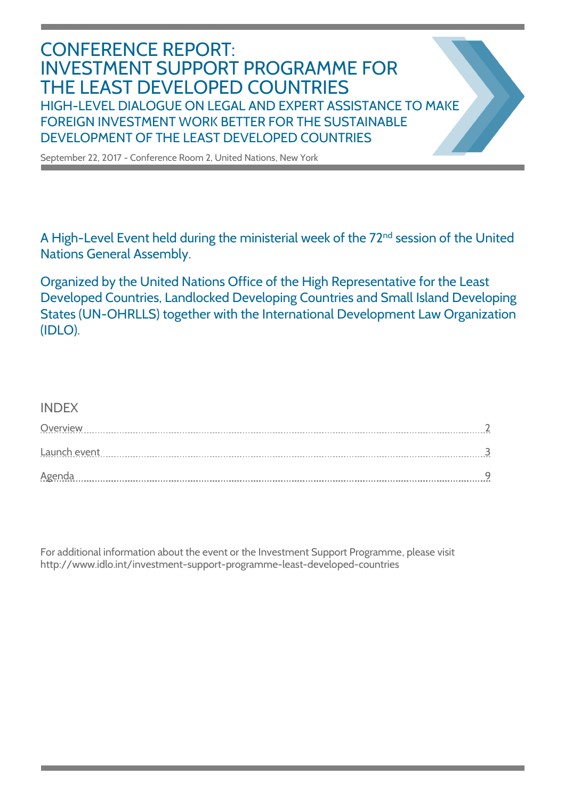# CONFERENCE REPORT: INVESTMENT SUPPORT PROGRAMME FOR THE LEAST DEVELOPED COUNTRIES HIGH-LEVEL DIALOGUE ON LEGAL AND EXPERT ASSISTANCE TO MAKE FOREIGN INVESTMENT WORK BETTER FOR THE SUSTAINABLE DEVELOPMENT OF THE LEAST DEVELOPED COUNTRIES

September 22, 2017 - Conference Room 2, United Nations, New York

A High-Level Event held during the ministerial week of the 72<sup>nd</sup> session of the United Nations General Assembly.

Organized by the United Nations Office of the High Representative for the Least Developed Countries, Landlocked Developing Countries and Small Island Developing States (UN-OHRLLS) together with the International Development Law Organization (IDLO).

# INDEX

| Overview      |  |
|---------------|--|
| Launch event  |  |
| <b>Agenda</b> |  |

For additional information about the event or the Investment Support Programme, please visit http://www.idlo.int/investment-support-programme-least-developed-countries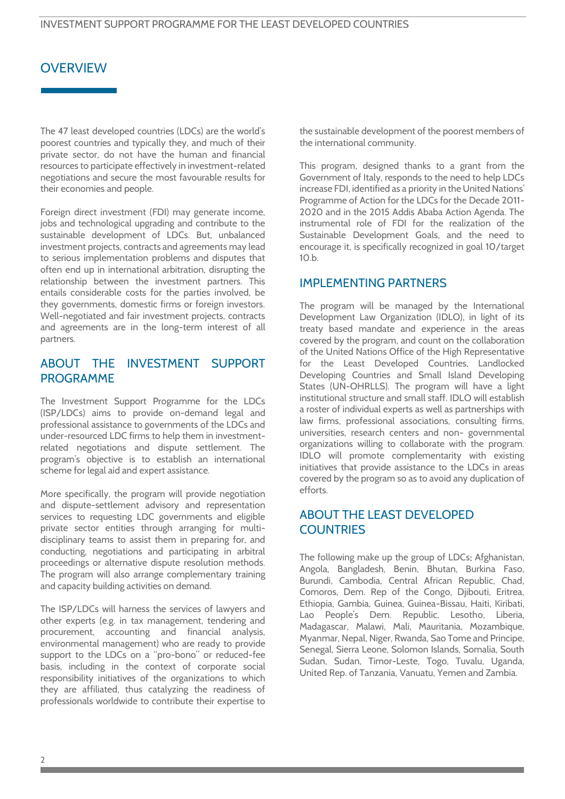# **OVERVIEW**

The 47 least developed countries (LDCs) are the world's poorest countries and typically they, and much of their private sector, do not have the human and financial resources to participate effectively in investment-related negotiations and secure the most favourable results for their economies and people.

Foreign direct investment (FDI) may generate income, jobs and technological upgrading and contribute to the sustainable development of LDCs. But, unbalanced investment projects, contracts and agreements may lead to serious implementation problems and disputes that often end up in international arbitration, disrupting the relationship between the investment partners. This entails considerable costs for the parties involved, be they governments, domestic firms or foreign investors. Well-negotiated and fair investment projects, contracts and agreements are in the long-term interest of all partners.

# ABOUT THE INVESTMENT SUPPORT PROGRAMME

The Investment Support Programme for the LDCs (ISP/LDCs) aims to provide on-demand legal and professional assistance to governments of the LDCs and under-resourced LDC firms to help them in investmentrelated negotiations and dispute settlement. The program's objective is to establish an international scheme for legal aid and expert assistance.

More specifically, the program will provide negotiation and dispute-settlement advisory and representation services to requesting LDC governments and eligible private sector entities through arranging for multidisciplinary teams to assist them in preparing for, and conducting, negotiations and participating in arbitral proceedings or alternative dispute resolution methods. The program will also arrange complementary training and capacity building activities on demand.

The ISP/LDCs will harness the services of lawyers and other experts (e.g. in tax management, tendering and procurement, accounting and financial analysis, environmental management) who are ready to provide support to the LDCs on a "pro-bono" or reduced-fee basis, including in the context of corporate social responsibility initiatives of the organizations to which they are affiliated, thus catalyzing the readiness of professionals worldwide to contribute their expertise to the sustainable development of the poorest members of the international community.

This program, designed thanks to a grant from the Government of Italy, responds to the need to help LDCs increase FDI, identified as a priority in the United Nations' Programme of Action for the LDCs for the Decade 2011- 2020 and in the 2015 Addis Ababa Action Agenda. The instrumental role of FDI for the realization of the Sustainable Development Goals, and the need to encourage it, is specifically recognized in goal 10/target 10.b.

# IMPLEMENTING PARTNERS

The program will be managed by the International Development Law Organization (IDLO), in light of its treaty based mandate and experience in the areas covered by the program, and count on the collaboration of the United Nations Office of the High Representative for the Least Developed Countries, Landlocked Developing Countries and Small Island Developing States (UN-OHRLLS). The program will have a light institutional structure and small staff. IDLO will establish a roster of individual experts as well as partnerships with law firms, professional associations, consulting firms, universities, research centers and non- governmental organizations willing to collaborate with the program. IDLO will promote complementarity with existing initiatives that provide assistance to the LDCs in areas covered by the program so as to avoid any duplication of efforts.

# ABOUT THE LEAST DEVELOPED **COUNTRIES**

The following make up the group of LDCs: Afghanistan, Angola, Bangladesh, Benin, Bhutan, Burkina Faso, Burundi, Cambodia, Central African Republic, Chad, Comoros, Dem. Rep of the Congo, Djibouti, Eritrea, Ethiopia, Gambia, Guinea, Guinea-Bissau, Haiti, Kiribati, Lao People's Dem. Republic, Lesotho, Liberia, Madagascar, Malawi, Mali, Mauritania, Mozambique, Myanmar, Nepal, Niger, Rwanda, Sao Tome and Principe, Senegal, Sierra Leone, Solomon Islands, Somalia, South Sudan, Sudan, Timor-Leste, Togo, Tuvalu, Uganda, United Rep. of Tanzania, Vanuatu, Yemen and Zambia.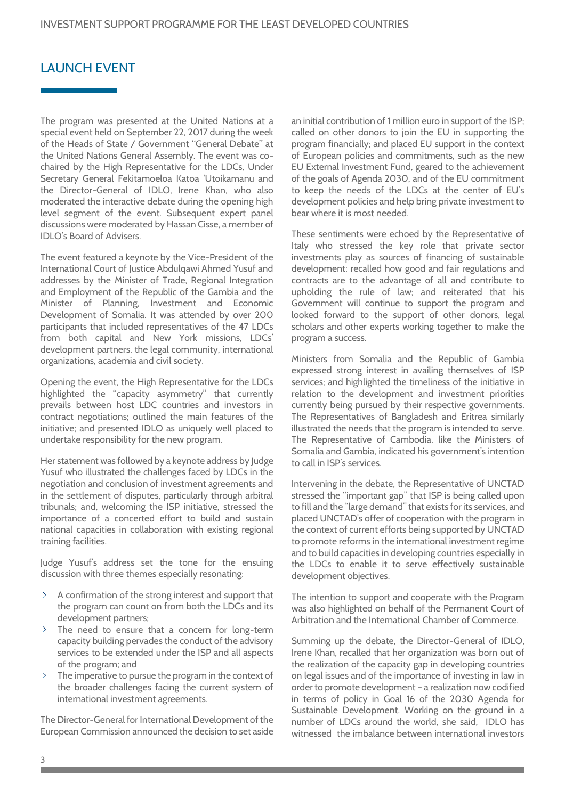# LAUNCH EVENT

The program was presented at the United Nations at a special event held on September 22, 2017 during the week of the Heads of State / Government "General Debate" at the United Nations General Assembly. The event was cochaired by the High Representative for the LDCs, Under Secretary General Fekitamoeloa Katoa 'Utoikamanu and the Director-General of IDLO, Irene Khan, who also moderated the interactive debate during the opening high level segment of the event. Subsequent expert panel discussions were moderated by Hassan Cisse, a member of IDLO's Board of Advisers.

The event featured a keynote by the Vice-President of the International Court of Justice Abdulqawi Ahmed Yusuf and addresses by the Minister of Trade, Regional Integration and Employment of the Republic of the Gambia and the Minister of Planning, Investment and Economic Development of Somalia. It was attended by over 200 participants that included representatives of the 47 LDCs from both capital and New York missions, LDCs' development partners, the legal community, international organizations, academia and civil society.

Opening the event, the High Representative for the LDCs highlighted the "capacity asymmetry" that currently prevails between host LDC countries and investors in contract negotiations; outlined the main features of the initiative; and presented IDLO as uniquely well placed to undertake responsibility for the new program.

Her statement was followed by a keynote address by Judge Yusuf who illustrated the challenges faced by LDCs in the negotiation and conclusion of investment agreements and in the settlement of disputes, particularly through arbitral tribunals; and, welcoming the ISP initiative, stressed the importance of a concerted effort to build and sustain national capacities in collaboration with existing regional training facilities.

Judge Yusuf's address set the tone for the ensuing discussion with three themes especially resonating:

- A confirmation of the strong interest and support that the program can count on from both the LDCs and its development partners;
- The need to ensure that a concern for long-term capacity building pervades the conduct of the advisory services to be extended under the ISP and all aspects of the program; and
- The imperative to pursue the program in the context of the broader challenges facing the current system of international investment agreements.

The Director-General for International Development of the European Commission announced the decision to set aside

an initial contribution of 1 million euro in support of the ISP; called on other donors to join the EU in supporting the program financially; and placed EU support in the context of European policies and commitments, such as the new EU External Investment Fund, geared to the achievement of the goals of Agenda 2030, and of the EU commitment to keep the needs of the LDCs at the center of EU's development policies and help bring private investment to bear where it is most needed.

These sentiments were echoed by the Representative of Italy who stressed the key role that private sector investments play as sources of financing of sustainable development; recalled how good and fair regulations and contracts are to the advantage of all and contribute to upholding the rule of law; and reiterated that his Government will continue to support the program and looked forward to the support of other donors, legal scholars and other experts working together to make the program a success.

Ministers from Somalia and the Republic of Gambia expressed strong interest in availing themselves of ISP services; and highlighted the timeliness of the initiative in relation to the development and investment priorities currently being pursued by their respective governments. The Representatives of Bangladesh and Eritrea similarly illustrated the needs that the program is intended to serve. The Representative of Cambodia, like the Ministers of Somalia and Gambia, indicated his government's intention to call in ISP's services.

Intervening in the debate, the Representative of UNCTAD stressed the "important gap" that ISP is being called upon to fill and the "large demand" that exists for its services, and placed UNCTAD's offer of cooperation with the program in the context of current efforts being supported by UNCTAD to promote reforms in the international investment regime and to build capacities in developing countries especially in the LDCs to enable it to serve effectively sustainable development objectives.

The intention to support and cooperate with the Program was also highlighted on behalf of the Permanent Court of Arbitration and the International Chamber of Commerce.

Summing up the debate, the Director-General of IDLO, Irene Khan, recalled that her organization was born out of the realization of the capacity gap in developing countries on legal issues and of the importance of investing in law in order to promote development – a realization now codified in terms of policy in Goal 16 of the 2030 Agenda for Sustainable Development. Working on the ground in a number of LDCs around the world, she said, IDLO has witnessed the imbalance between international investors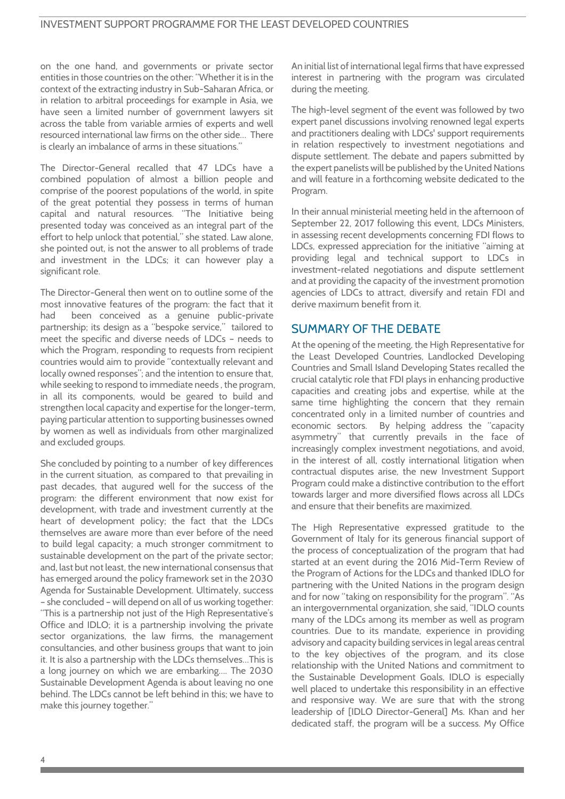on the one hand, and governments or private sector entities in those countries on the other: "Whether it is in the context of the extracting industry in Sub-Saharan Africa, or in relation to arbitral proceedings for example in Asia, we have seen a limited number of government lawyers sit across the table from variable armies of experts and well resourced international law firms on the other side… There is clearly an imbalance of arms in these situations."

The Director-General recalled that 47 LDCs have a combined population of almost a billion people and comprise of the poorest populations of the world, in spite of the great potential they possess in terms of human capital and natural resources. "The Initiative being presented today was conceived as an integral part of the effort to help unlock that potential," she stated. Law alone, she pointed out, is not the answer to all problems of trade and investment in the LDCs; it can however play a significant role.

The Director-General then went on to outline some of the most innovative features of the program: the fact that it had been conceived as a genuine public-private partnership; its design as a "bespoke service," tailored to meet the specific and diverse needs of LDCs – needs to which the Program, responding to requests from recipient countries would aim to provide "contextually relevant and locally owned responses"; and the intention to ensure that, while seeking to respond to immediate needs , the program, in all its components, would be geared to build and strengthen local capacity and expertise for the longer-term, paying particular attention to supporting businesses owned by women as well as individuals from other marginalized and excluded groups.

She concluded by pointing to a number of key differences in the current situation, as compared to that prevailing in past decades, that augured well for the success of the program: the different environment that now exist for development, with trade and investment currently at the heart of development policy; the fact that the LDCs themselves are aware more than ever before of the need to build legal capacity; a much stronger commitment to sustainable development on the part of the private sector; and, last but not least, the new international consensus that has emerged around the policy framework set in the 2030 Agenda for Sustainable Development. Ultimately, success – she concluded – will depend on all of us working together: "This is a partnership not just of the High Representative's Office and IDLO; it is a partnership involving the private sector organizations, the law firms, the management consultancies, and other business groups that want to join it. It is also a partnership with the LDCs themselves…This is a long journey on which we are embarking…. The 2030 Sustainable Development Agenda is about leaving no one behind. The LDCs cannot be left behind in this; we have to make this journey together."

An initial list of international legal firms that have expressed interest in partnering with the program was circulated during the meeting.

The high-level segment of the event was followed by two expert panel discussions involving renowned legal experts and practitioners dealing with LDCs' support requirements in relation respectively to investment negotiations and dispute settlement. The debate and papers submitted by the expert panelists will be published by the United Nations and will feature in a forthcoming website dedicated to the Program.

In their annual ministerial meeting held in the afternoon of September 22, 2017 following this event, LDCs Ministers, in assessing recent developments concerning FDI flows to LDCs, expressed appreciation for the initiative "aiming at providing legal and technical support to LDCs in investment-related negotiations and dispute settlement and at providing the capacity of the investment promotion agencies of LDCs to attract, diversify and retain FDI and derive maximum benefit from it.

# SUMMARY OF THE DEBATE

At the opening of the meeting, the High Representative for the Least Developed Countries, Landlocked Developing Countries and Small Island Developing States recalled the crucial catalytic role that FDI plays in enhancing productive capacities and creating jobs and expertise, while at the same time highlighting the concern that they remain concentrated only in a limited number of countries and economic sectors. By helping address the "capacity asymmetry" that currently prevails in the face of increasingly complex investment negotiations, and avoid, in the interest of all, costly international litigation when contractual disputes arise, the new Investment Support Program could make a distinctive contribution to the effort towards larger and more diversified flows across all LDCs and ensure that their benefits are maximized.

The High Representative expressed gratitude to the Government of Italy for its generous financial support of the process of conceptualization of the program that had started at an event during the 2016 Mid-Term Review of the Program of Actions for the LDCs and thanked IDLO for partnering with the United Nations in the program design and for now "taking on responsibility for the program". "As an intergovernmental organization, she said, "IDLO counts many of the LDCs among its member as well as program countries. Due to its mandate, experience in providing advisory and capacity building services in legal areas central to the key objectives of the program, and its close relationship with the United Nations and commitment to the Sustainable Development Goals, IDLO is especially well placed to undertake this responsibility in an effective and responsive way. We are sure that with the strong leadership of [IDLO Director-General] Ms. Khan and her dedicated staff, the program will be a success. My Office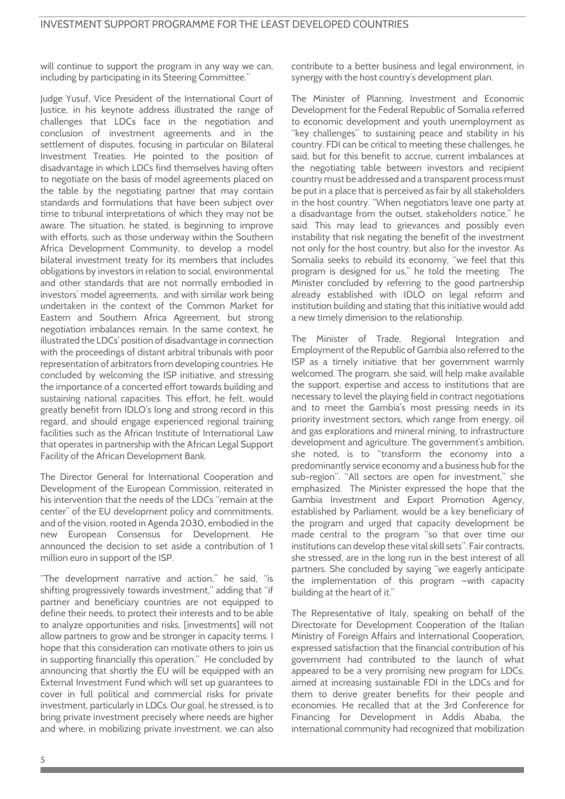will continue to support the program in any way we can, including by participating in its Steering Committee."

Judge Yusuf, Vice President of the International Court of Justice, in his keynote address illustrated the range of challenges that LDCs face in the negotiation and conclusion of investment agreements and in the settlement of disputes, focusing in particular on Bilateral Investment Treaties. He pointed to the position of disadvantage in which LDCs find themselves having often to negotiate on the basis of model agreements placed on the table by the negotiating partner that may contain standards and formulations that have been subject over time to tribunal interpretations of which they may not be aware. The situation, he stated, is beginning to improve with efforts, such as those underway within the Southern Africa Development Community, to develop a model bilateral investment treaty for its members that includes obligations by investors in relation to social, environmental and other standards that are not normally embodied in investors' model agreements, and with similar work being undertaken in the context of the Common Market for Eastern and Southern Africa Agreement, but strong negotiation imbalances remain. In the same context, he illustrated the LDCs' position of disadvantage in connection with the proceedings of distant arbitral tribunals with poor representation of arbitrators from developing countries. He concluded by welcoming the ISP initiative, and stressing the importance of a concerted effort towards building and sustaining national capacities. This effort, he felt, would greatly benefit from IDLO's long and strong record in this regard, and should engage experienced regional training facilities such as the African Institute of International Law that operates in partnership with the African Legal Support Facility of the African Development Bank.

The Director General for International Cooperation and Development of the European Commission, reiterated in his intervention that the needs of the LDCs "remain at the center" of the EU development policy and commitments, and of the vision, rooted in Agenda 2030, embodied in the new European Consensus for Development. He announced the decision to set aside a contribution of 1 million euro in support of the ISP.

"The development narrative and action," he said, "is shifting progressively towards investment," adding that "if partner and beneficiary countries are not equipped to define their needs, to protect their interests and to be able to analyze opportunities and risks, [investments] will not allow partners to grow and be stronger in capacity terms. I hope that this consideration can motivate others to join us in supporting financially this operation." He concluded by announcing that shortly the EU will be equipped with an External Investment Fund which will set up guarantees to cover in full political and commercial risks for private investment, particularly in LDCs. Our goal, he stressed, is to bring private investment precisely where needs are higher and where, in mobilizing private investment, we can also

contribute to a better business and legal environment, in synergy with the host country's development plan.

The Minister of Planning, Investment and Economic Development for the Federal Republic of Somalia referred to economic development and youth unemployment as "key challenges" to sustaining peace and stability in his country. FDI can be critical to meeting these challenges, he said, but for this benefit to accrue, current imbalances at the negotiating table between investors and recipient country must be addressed and a transparent process must be put in a place that is perceived as fair by all stakeholders in the host country. "When negotiators leave one party at a disadvantage from the outset, stakeholders notice," he said. This may lead to grievances and possibly even instability that risk negating the benefit of the investment not only for the host country, but also for the investor. As Somalia seeks to rebuild its economy, "we feel that this program is designed for us," he told the meeting. The Minister concluded by referring to the good partnership already established with IDLO on legal reform and institution building and stating that this initiative would add a new timely dimension to the relationship.

The Minister of Trade, Regional Integration and Employment of the Republic of Gambia also referred to the ISP as a timely initiative that her government warmly welcomed. The program, she said, will help make available the support, expertise and access to institutions that are necessary to level the playing field in contract negotiations and to meet the Gambia's most pressing needs in its priority investment sectors, which range from energy, oil and gas explorations and mineral mining, to infrastructure development and agriculture. The government's ambition, she noted, is to "transform the economy into a predominantly service economy and a business hub for the sub-region". "All sectors are open for investment," she emphasized. The Minister expressed the hope that the Gambia Investment and Export Promotion Agency, established by Parliament, would be a key beneficiary of the program and urged that capacity development be made central to the program "so that over time our institutions can develop these vital skill sets". Fair contracts, she stressed, are in the long run in the best interest of all partners. She concluded by saying "we eagerly anticipate the implementation of this program —with capacity building at the heart of it."

The Representative of Italy, speaking on behalf of the Directorate for Development Cooperation of the Italian Ministry of Foreign Affairs and International Cooperation, expressed satisfaction that the financial contribution of his government had contributed to the launch of what appeared to be a very promising new program for LDCs, aimed at increasing sustainable FDI in the LDCs and for them to derive greater benefits for their people and economies. He recalled that at the 3rd Conference for Financing for Development in Addis Ababa, the international community had recognized that mobilization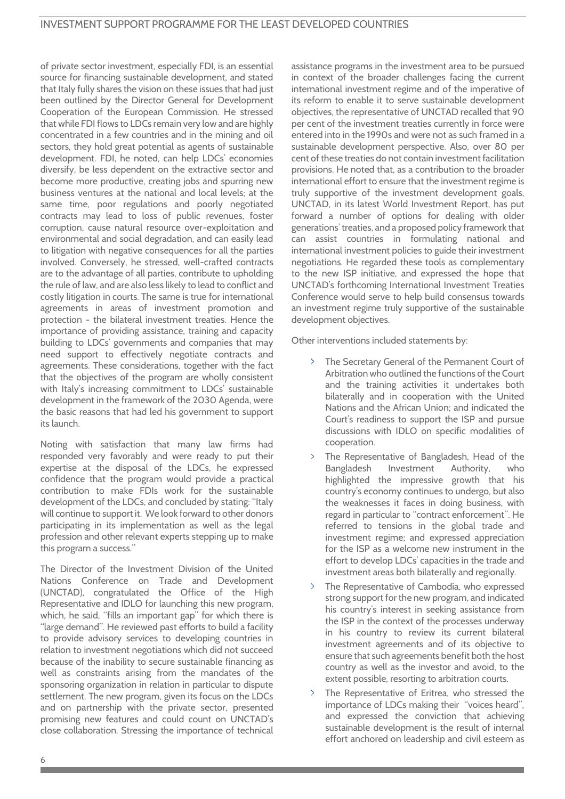of private sector investment, especially FDI, is an essential source for financing sustainable development, and stated that Italy fully shares the vision on these issues that had just been outlined by the Director General for Development Cooperation of the European Commission. He stressed that while FDI flows to LDCs remain very low and are highly concentrated in a few countries and in the mining and oil sectors, they hold great potential as agents of sustainable development. FDI, he noted, can help LDCs' economies diversify, be less dependent on the extractive sector and become more productive, creating jobs and spurring new business ventures at the national and local levels; at the same time, poor regulations and poorly negotiated contracts may lead to loss of public revenues, foster corruption, cause natural resource over-exploitation and environmental and social degradation, and can easily lead to litigation with negative consequences for all the parties involved. Conversely, he stressed, well-crafted contracts are to the advantage of all parties, contribute to upholding the rule of law, and are also less likely to lead to conflict and costly litigation in courts. The same is true for international agreements in areas of investment promotion and protection - the bilateral investment treaties. Hence the importance of providing assistance, training and capacity building to LDCs' governments and companies that may need support to effectively negotiate contracts and agreements. These considerations, together with the fact that the objectives of the program are wholly consistent with Italy's increasing commitment to LDCs' sustainable development in the framework of the 2030 Agenda, were the basic reasons that had led his government to support its launch.

Noting with satisfaction that many law firms had responded very favorably and were ready to put their expertise at the disposal of the LDCs, he expressed confidence that the program would provide a practical contribution to make FDIs work for the sustainable development of the LDCs, and concluded by stating: "Italy will continue to support it. We look forward to other donors participating in its implementation as well as the legal profession and other relevant experts stepping up to make this program a success."

The Director of the Investment Division of the United Nations Conference on Trade and Development (UNCTAD), congratulated the Office of the High Representative and IDLO for launching this new program, which, he said, "fills an important gap" for which there is "large demand". He reviewed past efforts to build a facility to provide advisory services to developing countries in relation to investment negotiations which did not succeed because of the inability to secure sustainable financing as well as constraints arising from the mandates of the sponsoring organization in relation in particular to dispute settlement. The new program, given its focus on the LDCs and on partnership with the private sector, presented promising new features and could count on UNCTAD's close collaboration. Stressing the importance of technical assistance programs in the investment area to be pursued in context of the broader challenges facing the current international investment regime and of the imperative of its reform to enable it to serve sustainable development objectives, the representative of UNCTAD recalled that 90 per cent of the investment treaties currently in force were entered into in the 1990s and were not as such framed in a sustainable development perspective. Also, over 80 per cent of these treaties do not contain investment facilitation provisions. He noted that, as a contribution to the broader international effort to ensure that the investment regime is truly supportive of the investment development goals, UNCTAD, in its latest World Investment Report, has put forward a number of options for dealing with older generations' treaties, and a proposed policy framework that can assist countries in formulating national and international investment policies to guide their investment negotiations. He regarded these tools as complementary to the new ISP initiative, and expressed the hope that UNCTAD's forthcoming International Investment Treaties Conference would serve to help build consensus towards an investment regime truly supportive of the sustainable development objectives.

Other interventions included statements by:

- The Secretary General of the Permanent Court of Arbitration who outlined the functions of the Court and the training activities it undertakes both bilaterally and in cooperation with the United Nations and the African Union; and indicated the Court's readiness to support the ISP and pursue discussions with IDLO on specific modalities of cooperation.
- The Representative of Bangladesh, Head of the Bangladesh Investment Authority, who highlighted the impressive growth that his country's economy continues to undergo, but also the weaknesses it faces in doing business, with regard in particular to "contract enforcement". He referred to tensions in the global trade and investment regime; and expressed appreciation for the ISP as a welcome new instrument in the effort to develop LDCs' capacities in the trade and investment areas both bilaterally and regionally.
- The Representative of Cambodia, who expressed strong support for the new program, and indicated his country's interest in seeking assistance from the ISP in the context of the processes underway in his country to review its current bilateral investment agreements and of its objective to ensure that such agreements benefit both the host country as well as the investor and avoid, to the extent possible, resorting to arbitration courts.
- The Representative of Eritrea, who stressed the importance of LDCs making their "voices heard", and expressed the conviction that achieving sustainable development is the result of internal effort anchored on leadership and civil esteem as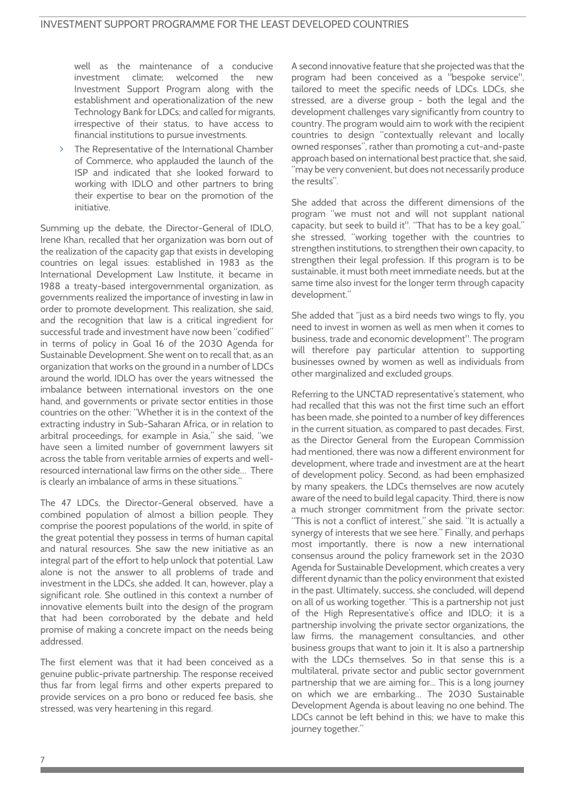well as the maintenance of a conducive investment climate; welcomed the new Investment Support Program along with the establishment and operationalization of the new Technology Bank for LDCs; and called for migrants, irrespective of their status, to have access to financial institutions to pursue investments.

The Representative of the International Chamber of Commerce, who applauded the launch of the ISP and indicated that she looked forward to working with IDLO and other partners to bring their expertise to bear on the promotion of the initiative.

Summing up the debate, the Director-General of IDLO, Irene Khan, recalled that her organization was born out of the realization of the capacity gap that exists in developing countries on legal issues: established in 1983 as the International Development Law Institute, it became in 1988 a treaty-based intergovernmental organization, as governments realized the importance of investing in law in order to promote development. This realization, she said, and the recognition that law is a critical ingredient for successful trade and investment have now been "codified" in terms of policy in Goal 16 of the 2030 Agenda for Sustainable Development. She went on to recall that, as an organization that works on the ground in a number of LDCs around the world, IDLO has over the years witnessed the imbalance between international investors on the one hand, and governments or private sector entities in those countries on the other: "Whether it is in the context of the extracting industry in Sub-Saharan Africa, or in relation to arbitral proceedings, for example in Asia," she said, "we have seen a limited number of government lawyers sit across the table from veritable armies of experts and wellresourced international law firms on the other side… There is clearly an imbalance of arms in these situations."

The 47 LDCs, the Director-General observed, have a combined population of almost a billion people. They comprise the poorest populations of the world, in spite of the great potential they possess in terms of human capital and natural resources. She saw the new initiative as an integral part of the effort to help unlock that potential. Law alone is not the answer to all problems of trade and investment in the LDCs, she added. It can, however, play a significant role. She outlined in this context a number of innovative elements built into the design of the program that had been corroborated by the debate and held promise of making a concrete impact on the needs being addressed.

The first element was that it had been conceived as a genuine public-private partnership. The response received thus far from legal firms and other experts prepared to provide services on a pro bono or reduced fee basis, she stressed, was very heartening in this regard.

A second innovative feature that she projected was that the program had been conceived as a "bespoke service", tailored to meet the specific needs of LDCs. LDCs, she stressed, are a diverse group - both the legal and the development challenges vary significantly from country to country. The program would aim to work with the recipient countries to design "contextually relevant and locally owned responses", rather than promoting a cut-and-paste approach based on international best practice that, she said, "may be very convenient, but does not necessarily produce the results".

She added that across the different dimensions of the program "we must not and will not supplant national capacity, but seek to build it". "That has to be a key goal," she stressed, "working together with the countries to strengthen institutions, to strengthen their own capacity, to strengthen their legal profession. If this program is to be sustainable, it must both meet immediate needs, but at the same time also invest for the longer term through capacity development."

She added that "just as a bird needs two wings to fly, you need to invest in women as well as men when it comes to business, trade and economic development". The program will therefore pay particular attention to supporting businesses owned by women as well as individuals from other marginalized and excluded groups.

Referring to the UNCTAD representative's statement, who had recalled that this was not the first time such an effort has been made, she pointed to a number of key differences in the current situation, as compared to past decades. First, as the Director General from the European Commission had mentioned, there was now a different environment for development, where trade and investment are at the heart of development policy. Second, as had been emphasized by many speakers, the LDCs themselves are now acutely aware of the need to build legal capacity. Third, there is now a much stronger commitment from the private sector: "This is not a conflict of interest," she said. "It is actually a synergy of interests that we see here." Finally, and perhaps most importantly, there is now a new international consensus around the policy framework set in the 2030 Agenda for Sustainable Development, which creates a very different dynamic than the policy environment that existed in the past. Ultimately, success, she concluded, will depend on all of us working together. "This is a partnership not just of the High Representative's office and IDLO; it is a partnership involving the private sector organizations, the law firms, the management consultancies, and other business groups that want to join it. It is also a partnership with the LDCs themselves. So in that sense this is a multilateral, private sector and public sector government partnership that we are aiming for... This is a long journey on which we are embarking… The 2030 Sustainable Development Agenda is about leaving no one behind. The LDCs cannot be left behind in this; we have to make this journey together."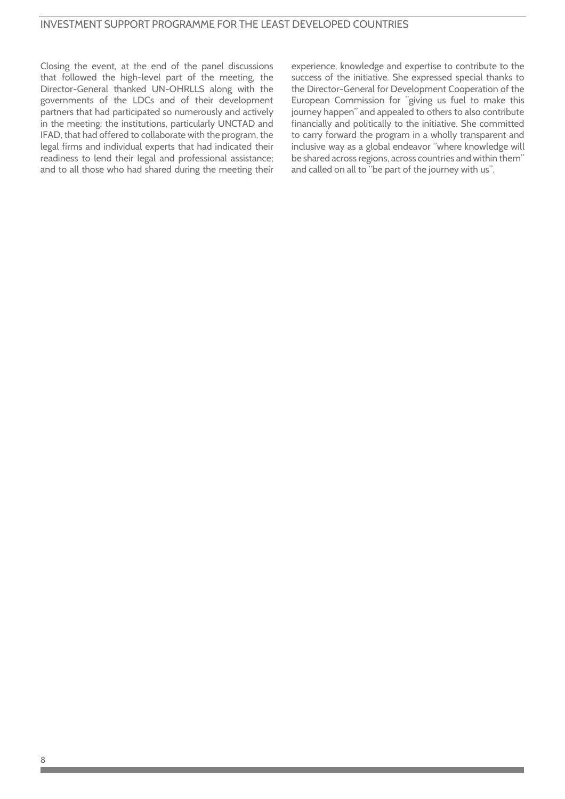## INVESTMENT SUPPORT PROGRAMME FOR THE LEAST DEVELOPED COUNTRIES

Closing the event, at the end of the panel discussions that followed the high-level part of the meeting, the Director-General thanked UN-OHRLLS along with the governments of the LDCs and of their development partners that had participated so numerously and actively in the meeting; the institutions, particularly UNCTAD and IFAD, that had offered to collaborate with the program, the legal firms and individual experts that had indicated their readiness to lend their legal and professional assistance; and to all those who had shared during the meeting their experience, knowledge and expertise to contribute to the success of the initiative. She expressed special thanks to the Director-General for Development Cooperation of the European Commission for "giving us fuel to make this journey happen" and appealed to others to also contribute financially and politically to the initiative. She committed to carry forward the program in a wholly transparent and inclusive way as a global endeavor "where knowledge will be shared across regions, across countries and within them" and called on all to "be part of the journey with us".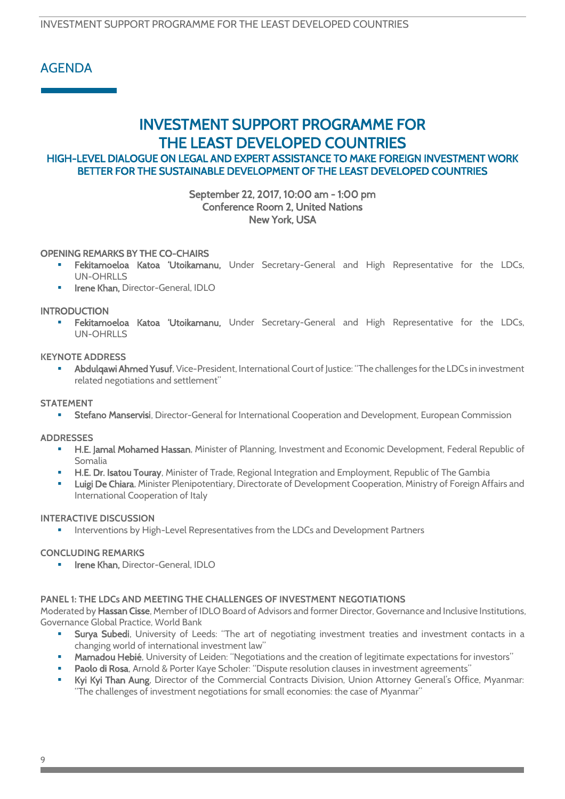INVESTMENT SUPPORT PROGRAMME FOR THE LEAST DEVELOPED COUNTRIES

# AGENDA

# INVESTMENT SUPPORT PROGRAMME FOR THE LEAST DEVELOPED COUNTRIES

# HIGH-LEVEL DIALOGUE ON LEGAL AND EXPERT ASSISTANCE TO MAKE FOREIGN INVESTMENT WORK BETTER FOR THE SUSTAINABLE DEVELOPMENT OF THE LEAST DEVELOPED COUNTRIES

## September 22, 2017, 10:00 am - 1:00 pm Conference Room 2, United Nations New York, USA

## OPENING REMARKS BY THE CO-CHAIRS

- Fekitamoeloa Katoa 'Utoikamanu, Under Secretary-General and High Representative for the LDCs, UN-OHRLLS
- Irene Khan, Director-General, IDLO

## INTRODUCTION

 Fekitamoeloa Katoa 'Utoikamanu, Under Secretary-General and High Representative for the LDCs, UN-OHRLLS

#### **KEYNOTE ADDRESS**

Abdulqawi Ahmed Yusuf, Vice-President, International Court of Justice: "The challenges for the LDCs in investment related negotiations and settlement"

#### **STATEMENT**

**EXET Stefano Manservisi**, Director-General for International Cooperation and Development, European Commission

#### **ADDRESSES**

- **H.E. Jamal Mohamed Hassan**, Minister of Planning, Investment and Economic Development, Federal Republic of Somalia
- **H.E. Dr. Isatou Touray**, Minister of Trade, Regional Integration and Employment, Republic of The Gambia
- Luigi De Chiara, Minister Plenipotentiary, Directorate of Development Cooperation, Ministry of Foreign Affairs and International Cooperation of Italy

#### **INTERACTIVE DISCUSSION**

Interventions by High-Level Representatives from the LDCs and Development Partners

#### **CONCLUDING REMARKS**

**Interne Khan, Director-General, IDLO** 

#### **PANEL 1: THE LDCs AND MEETING THE CHALLENGES OF INVESTMENT NEGOTIATIONS**

Moderated by Hassan Cisse, Member of IDLO Board of Advisors and former Director, Governance and Inclusive Institutions, Governance Global Practice, World Bank

- Surya Subedi, University of Leeds: "The art of negotiating investment treaties and investment contacts in a changing world of international investment law"
- Mamadou Hebié, University of Leiden: "Negotiations and the creation of legitimate expectations for investors"
- Paolo di Rosa, Arnold & Porter Kaye Scholer: "Dispute resolution clauses in investment agreements"
- Kyi Kyi Than Aung, Director of the Commercial Contracts Division, Union Attorney General's Office, Myanmar: "The challenges of investment negotiations for small economies: the case of Myanmar"